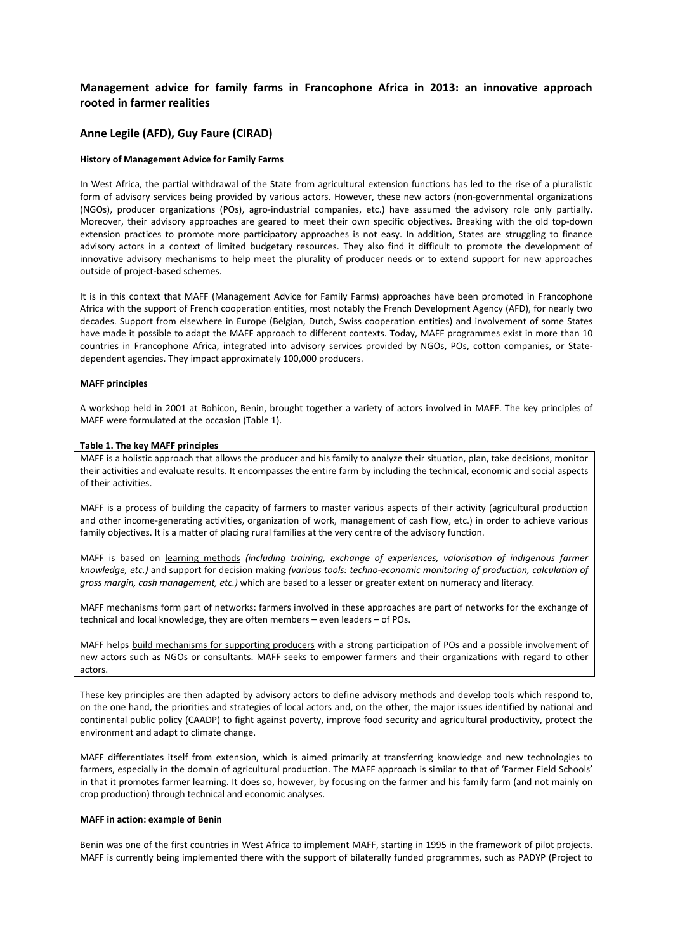# **Management advice for family farms in Francophone Africa in 2013: an innovative approach rooted in farmer realities**

# **Anne Legile (AFD), Guy Faure (CIRAD)**

# **History of Management Advice for Family Farms**

In West Africa, the partial withdrawal of the State from agricultural extension functions has led to the rise of a pluralistic form of advisory services being provided by various actors. However, these new actors (non-governmental organizations (NGOs), producer organizations (POs), agro-industrial companies, etc.) have assumed the advisory role only partially. Moreover, their advisory approaches are geared to meet their own specific objectives. Breaking with the old top-down extension practices to promote more participatory approaches is not easy. In addition, States are struggling to finance advisory actors in a context of limited budgetary resources. They also find it difficult to promote the development of innovative advisory mechanisms to help meet the plurality of producer needs or to extend support for new approaches outside of project-based schemes.

It is in this context that MAFF (Management Advice for Family Farms) approaches have been promoted in Francophone Africa with the support of French cooperation entities, most notably the French Development Agency (AFD), for nearly two decades. Support from elsewhere in Europe (Belgian, Dutch, Swiss cooperation entities) and involvement of some States have made it possible to adapt the MAFF approach to different contexts. Today, MAFF programmes exist in more than 10 countries in Francophone Africa, integrated into advisory services provided by NGOs, POs, cotton companies, or Statedependent agencies. They impact approximately 100,000 producers.

### **MAFF principles**

A workshop held in 2001 at Bohicon, Benin, brought together a variety of actors involved in MAFF. The key principles of MAFF were formulated at the occasion (Table 1).

### **Table 1. The key MAFF principles**

MAFF is a holistic approach that allows the producer and his family to analyze their situation, plan, take decisions, monitor their activities and evaluate results. It encompasses the entire farm by including the technical, economic and social aspects of their activities.

MAFF is a process of building the capacity of farmers to master various aspects of their activity (agricultural production and other income-generating activities, organization of work, management of cash flow, etc.) in order to achieve various family objectives. It is a matter of placing rural families at the very centre of the advisory function.

MAFF is based on learning methods *(including training, exchange of experiences, valorisation of indigenous farmer knowledge, etc.)* and support for decision making *(various tools: techno-economic monitoring of production, calculation of gross margin, cash management, etc.)* which are based to a lesser or greater extent on numeracy and literacy.

MAFF mechanisms form part of networks: farmers involved in these approaches are part of networks for the exchange of technical and local knowledge, they are often members – even leaders – of POs.

MAFF helps build mechanisms for supporting producers with a strong participation of POs and a possible involvement of new actors such as NGOs or consultants. MAFF seeks to empower farmers and their organizations with regard to other actors.

These key principles are then adapted by advisory actors to define advisory methods and develop tools which respond to, on the one hand, the priorities and strategies of local actors and, on the other, the major issues identified by national and continental public policy (CAADP) to fight against poverty, improve food security and agricultural productivity, protect the environment and adapt to climate change.

MAFF differentiates itself from extension, which is aimed primarily at transferring knowledge and new technologies to farmers, especially in the domain of agricultural production. The MAFF approach is similar to that of 'Farmer Field Schools' in that it promotes farmer learning. It does so, however, by focusing on the farmer and his family farm (and not mainly on crop production) through technical and economic analyses.

### **MAFF in action: example of Benin**

Benin was one of the first countries in West Africa to implement MAFF, starting in 1995 in the framework of pilot projects. MAFF is currently being implemented there with the support of bilaterally funded programmes, such as PADYP (Project to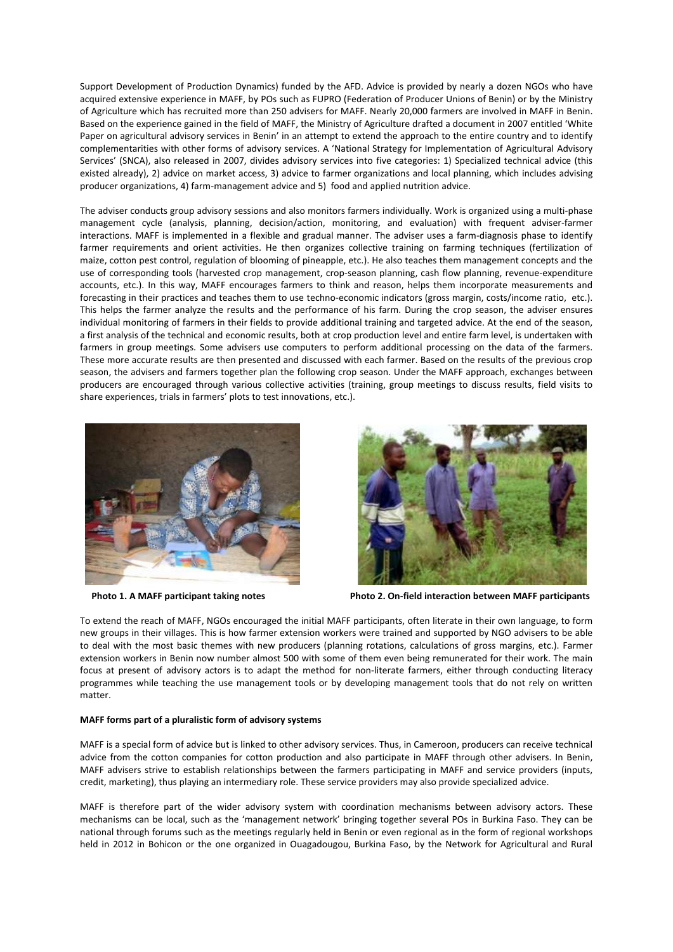Support Development of Production Dynamics) funded by the AFD. Advice is provided by nearly a dozen NGOs who have acquired extensive experience in MAFF, by POs such as FUPRO (Federation of Producer Unions of Benin) or by the Ministry of Agriculture which has recruited more than 250 advisers for MAFF. Nearly 20,000 farmers are involved in MAFF in Benin. Based on the experience gained in the field of MAFF, the Ministry of Agriculture drafted a document in 2007 entitled 'White Paper on agricultural advisory services in Benin' in an attempt to extend the approach to the entire country and to identify complementarities with other forms of advisory services. A 'National Strategy for Implementation of Agricultural Advisory Services' (SNCA), also released in 2007, divides advisory services into five categories: 1) Specialized technical advice (this existed already), 2) advice on market access, 3) advice to farmer organizations and local planning, which includes advising producer organizations, 4) farm-management advice and 5) food and applied nutrition advice.

The adviser conducts group advisory sessions and also monitors farmers individually. Work is organized using a multi-phase management cycle (analysis, planning, decision/action, monitoring, and evaluation) with frequent adviser-farmer interactions. MAFF is implemented in a flexible and gradual manner. The adviser uses a farm-diagnosis phase to identify farmer requirements and orient activities. He then organizes collective training on farming techniques (fertilization of maize, cotton pest control, regulation of blooming of pineapple, etc.). He also teaches them management concepts and the use of corresponding tools (harvested crop management, crop-season planning, cash flow planning, revenue-expenditure accounts, etc.). In this way, MAFF encourages farmers to think and reason, helps them incorporate measurements and forecasting in their practices and teaches them to use techno-economic indicators (gross margin, costs/income ratio, etc.). This helps the farmer analyze the results and the performance of his farm. During the crop season, the adviser ensures individual monitoring of farmers in their fields to provide additional training and targeted advice. At the end of the season, a first analysis of the technical and economic results, both at crop production level and entire farm level, is undertaken with farmers in group meetings. Some advisers use computers to perform additional processing on the data of the farmers. These more accurate results are then presented and discussed with each farmer. Based on the results of the previous crop season, the advisers and farmers together plan the following crop season. Under the MAFF approach, exchanges between producers are encouraged through various collective activities (training, group meetings to discuss results, field visits to share experiences, trials in farmers' plots to test innovations, etc.).





 **Photo 1. A MAFF participant taking notes Photo 2. On-field interaction between MAFF participants**

To extend the reach of MAFF, NGOs encouraged the initial MAFF participants, often literate in their own language, to form new groups in their villages. This is how farmer extension workers were trained and supported by NGO advisers to be able to deal with the most basic themes with new producers (planning rotations, calculations of gross margins, etc.). Farmer extension workers in Benin now number almost 500 with some of them even being remunerated for their work. The main focus at present of advisory actors is to adapt the method for non-literate farmers, either through conducting literacy programmes while teaching the use management tools or by developing management tools that do not rely on written matter.

### **MAFF forms part of a pluralistic form of advisory systems**

MAFF is a special form of advice but is linked to other advisory services. Thus, in Cameroon, producers can receive technical advice from the cotton companies for cotton production and also participate in MAFF through other advisers. In Benin, MAFF advisers strive to establish relationships between the farmers participating in MAFF and service providers (inputs, credit, marketing), thus playing an intermediary role. These service providers may also provide specialized advice.

MAFF is therefore part of the wider advisory system with coordination mechanisms between advisory actors. These mechanisms can be local, such as the 'management network' bringing together several POs in Burkina Faso. They can be national through forums such as the meetings regularly held in Benin or even regional as in the form of regional workshops held in 2012 in Bohicon or the one organized in Ouagadougou, Burkina Faso, by the Network for Agricultural and Rural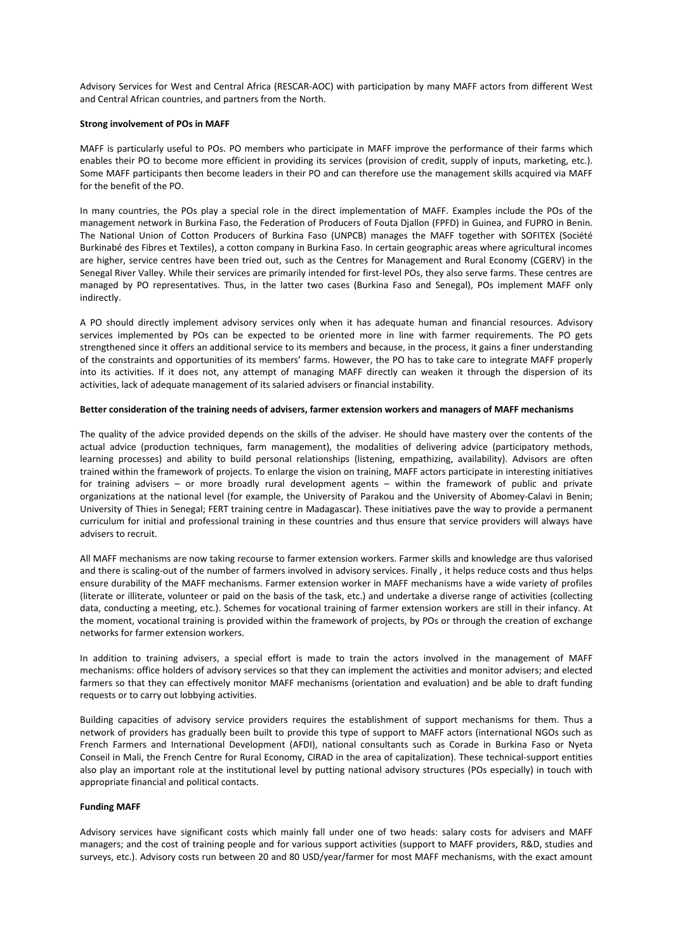Advisory Services for West and Central Africa (RESCAR-AOC) with participation by many MAFF actors from different West and Central African countries, and partners from the North.

# **Strong involvement of POs in MAFF**

MAFF is particularly useful to POs. PO members who participate in MAFF improve the performance of their farms which enables their PO to become more efficient in providing its services (provision of credit, supply of inputs, marketing, etc.). Some MAFF participants then become leaders in their PO and can therefore use the management skills acquired via MAFF for the benefit of the PO.

In many countries, the POs play a special role in the direct implementation of MAFF. Examples include the POs of the management network in Burkina Faso, the Federation of Producers of Fouta Djallon (FPFD) in Guinea, and FUPRO in Benin. The National Union of Cotton Producers of Burkina Faso (UNPCB) manages the MAFF together with SOFITEX (Société Burkinabé des Fibres et Textiles), a cotton company in Burkina Faso. In certain geographic areas where agricultural incomes are higher, service centres have been tried out, such as the Centres for Management and Rural Economy (CGERV) in the Senegal River Valley. While their services are primarily intended for first-level POs, they also serve farms. These centres are managed by PO representatives. Thus, in the latter two cases (Burkina Faso and Senegal), POs implement MAFF only indirectly.

A PO should directly implement advisory services only when it has adequate human and financial resources. Advisory services implemented by POs can be expected to be oriented more in line with farmer requirements. The PO gets strengthened since it offers an additional service to its members and because, in the process, it gains a finer understanding of the constraints and opportunities of its members' farms. However, the PO has to take care to integrate MAFF properly into its activities. If it does not, any attempt of managing MAFF directly can weaken it through the dispersion of its activities, lack of adequate management of its salaried advisers or financial instability.

### **Better consideration of the training needs of advisers, farmer extension workers and managers of MAFF mechanisms**

The quality of the advice provided depends on the skills of the adviser. He should have mastery over the contents of the actual advice (production techniques, farm management), the modalities of delivering advice (participatory methods, learning processes) and ability to build personal relationships (listening, empathizing, availability). Advisors are often trained within the framework of projects. To enlarge the vision on training, MAFF actors participate in interesting initiatives for training advisers – or more broadly rural development agents – within the framework of public and private organizations at the national level (for example, the University of Parakou and the University of Abomey-Calavi in Benin; University of Thies in Senegal; FERT training centre in Madagascar). These initiatives pave the way to provide a permanent curriculum for initial and professional training in these countries and thus ensure that service providers will always have advisers to recruit.

All MAFF mechanisms are now taking recourse to farmer extension workers. Farmer skills and knowledge are thus valorised and there is scaling-out of the number of farmers involved in advisory services. Finally , it helps reduce costs and thus helps ensure durability of the MAFF mechanisms. Farmer extension worker in MAFF mechanisms have a wide variety of profiles (literate or illiterate, volunteer or paid on the basis of the task, etc.) and undertake a diverse range of activities (collecting data, conducting a meeting, etc.). Schemes for vocational training of farmer extension workers are still in their infancy. At the moment, vocational training is provided within the framework of projects, by POs or through the creation of exchange networks for farmer extension workers.

In addition to training advisers, a special effort is made to train the actors involved in the management of MAFF mechanisms: office holders of advisory services so that they can implement the activities and monitor advisers; and elected farmers so that they can effectively monitor MAFF mechanisms (orientation and evaluation) and be able to draft funding requests or to carry out lobbying activities.

Building capacities of advisory service providers requires the establishment of support mechanisms for them. Thus a network of providers has gradually been built to provide this type of support to MAFF actors (international NGOs such as French Farmers and International Development (AFDI), national consultants such as Corade in Burkina Faso or Nyeta Conseil in Mali, the French Centre for Rural Economy, CIRAD in the area of capitalization). These technical-support entities also play an important role at the institutional level by putting national advisory structures (POs especially) in touch with appropriate financial and political contacts.

### **Funding MAFF**

Advisory services have significant costs which mainly fall under one of two heads: salary costs for advisers and MAFF managers; and the cost of training people and for various support activities (support to MAFF providers, R&D, studies and surveys, etc.). Advisory costs run between 20 and 80 USD/year/farmer for most MAFF mechanisms, with the exact amount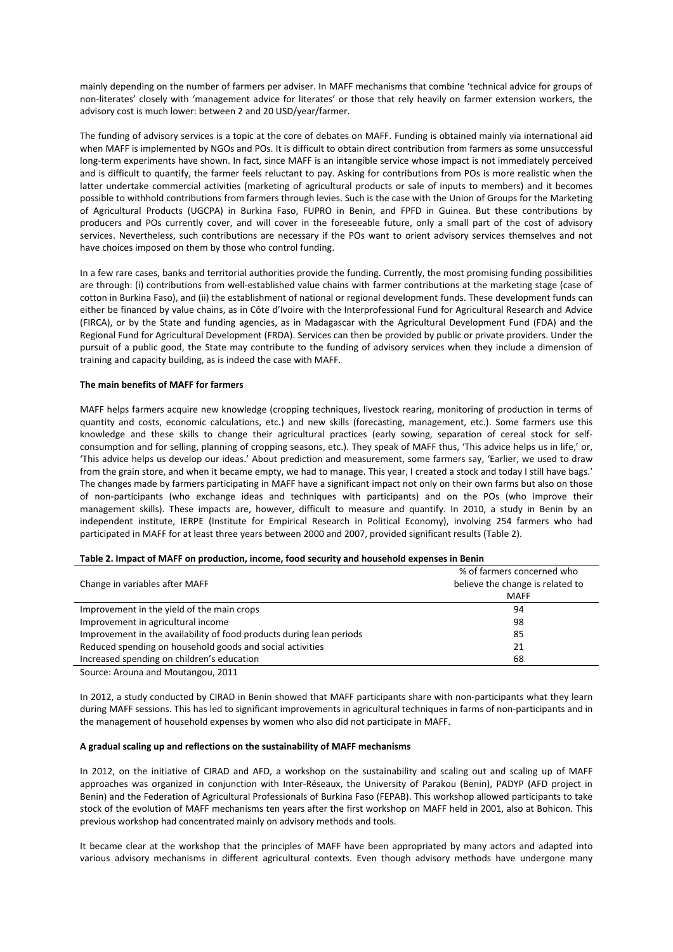mainly depending on the number of farmers per adviser. In MAFF mechanisms that combine 'technical advice for groups of non-literates' closely with 'management advice for literates' or those that rely heavily on farmer extension workers, the advisory cost is much lower: between 2 and 20 USD/year/farmer.

The funding of advisory services is a topic at the core of debates on MAFF. Funding is obtained mainly via international aid when MAFF is implemented by NGOs and POs. It is difficult to obtain direct contribution from farmers as some unsuccessful long-term experiments have shown. In fact, since MAFF is an intangible service whose impact is not immediately perceived and is difficult to quantify, the farmer feels reluctant to pay. Asking for contributions from POs is more realistic when the latter undertake commercial activities (marketing of agricultural products or sale of inputs to members) and it becomes possible to withhold contributions from farmers through levies. Such is the case with the Union of Groups for the Marketing of Agricultural Products (UGCPA) in Burkina Faso, FUPRO in Benin, and FPFD in Guinea. But these contributions by producers and POs currently cover, and will cover in the foreseeable future, only a small part of the cost of advisory services. Nevertheless, such contributions are necessary if the POs want to orient advisory services themselves and not have choices imposed on them by those who control funding.

In a few rare cases, banks and territorial authorities provide the funding. Currently, the most promising funding possibilities are through: (i) contributions from well-established value chains with farmer contributions at the marketing stage (case of cotton in Burkina Faso), and (ii) the establishment of national or regional development funds. These development funds can either be financed by value chains, as in Côte d'Ivoire with the Interprofessional Fund for Agricultural Research and Advice (FIRCA), or by the State and funding agencies, as in Madagascar with the Agricultural Development Fund (FDA) and the Regional Fund for Agricultural Development (FRDA). Services can then be provided by public or private providers. Under the pursuit of a public good, the State may contribute to the funding of advisory services when they include a dimension of training and capacity building, as is indeed the case with MAFF.

# **The main benefits of MAFF for farmers**

MAFF helps farmers acquire new knowledge (cropping techniques, livestock rearing, monitoring of production in terms of quantity and costs, economic calculations, etc.) and new skills (forecasting, management, etc.). Some farmers use this knowledge and these skills to change their agricultural practices (early sowing, separation of cereal stock for selfconsumption and for selling, planning of cropping seasons, etc.). They speak of MAFF thus, 'This advice helps us in life,' or, 'This advice helps us develop our ideas.' About prediction and measurement, some farmers say, 'Earlier, we used to draw from the grain store, and when it became empty, we had to manage. This year, I created a stock and today I still have bags.' The changes made by farmers participating in MAFF have a significant impact not only on their own farms but also on those of non-participants (who exchange ideas and techniques with participants) and on the POs (who improve their management skills). These impacts are, however, difficult to measure and quantify. In 2010, a study in Benin by an independent institute, IERPE (Institute for Empirical Research in Political Economy), involving 254 farmers who had participated in MAFF for at least three years between 2000 and 2007, provided significant results (Table 2).

| % of farmers concerned who       |
|----------------------------------|
| believe the change is related to |
| <b>MAFF</b>                      |
| 94                               |
| 98                               |
| 85                               |
| 21                               |
| 68                               |
|                                  |

#### **Table 2. Impact of MAFF on production, income, food security and household expenses in Benin**

Source: Arouna and Moutangou, 2011

In 2012, a study conducted by CIRAD in Benin showed that MAFF participants share with non-participants what they learn during MAFF sessions. This has led to significant improvements in agricultural techniques in farms of non-participants and in the management of household expenses by women who also did not participate in MAFF.

### **A gradual scaling up and reflections on the sustainability of MAFF mechanisms**

In 2012, on the initiative of CIRAD and AFD, a workshop on the sustainability and scaling out and scaling up of MAFF approaches was organized in conjunction with Inter-Réseaux, the University of Parakou (Benin), PADYP (AFD project in Benin) and the Federation of Agricultural Professionals of Burkina Faso (FEPAB). This workshop allowed participants to take stock of the evolution of MAFF mechanisms ten years after the first workshop on MAFF held in 2001, also at Bohicon. This previous workshop had concentrated mainly on advisory methods and tools.

It became clear at the workshop that the principles of MAFF have been appropriated by many actors and adapted into various advisory mechanisms in different agricultural contexts. Even though advisory methods have undergone many